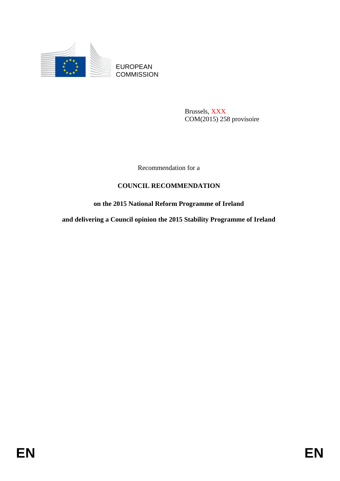

EUROPEAN **COMMISSION** 

> Brussels, XXX COM(2015) 258 provisoire

Recommendation for a

## **COUNCIL RECOMMENDATION**

## **on the 2015 National Reform Programme of Ireland**

**and delivering a Council opinion the 2015 Stability Programme of Ireland**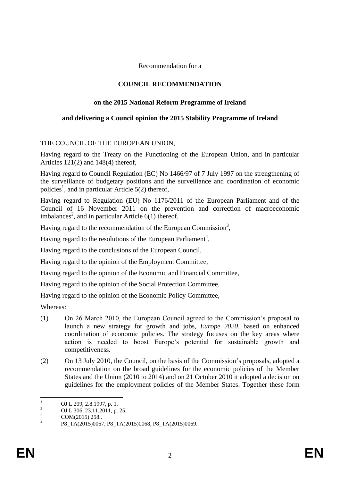Recommendation for a

### **COUNCIL RECOMMENDATION**

#### **on the 2015 National Reform Programme of Ireland**

# **and delivering a Council opinion the 2015 Stability Programme of Ireland**

# THE COUNCIL OF THE EUROPEAN UNION,

Having regard to the Treaty on the Functioning of the European Union, and in particular Articles 121(2) and 148(4) thereof,

Having regard to Council Regulation (EC) No 1466/97 of 7 July 1997 on the strengthening of the surveillance of budgetary positions and the surveillance and coordination of economic policies<sup>1</sup>, and in particular Article 5(2) thereof,

Having regard to Regulation (EU) No 1176/2011 of the European Parliament and of the Council of 16 November 2011 on the prevention and correction of macroeconomic imbalances<sup>2</sup>, and in particular Article  $6(1)$  thereof,

Having regard to the recommendation of the European Commission<sup>3</sup>,

Having regard to the resolutions of the European Parliament<sup>4</sup>,

Having regard to the conclusions of the European Council,

Having regard to the opinion of the Employment Committee,

Having regard to the opinion of the Economic and Financial Committee,

Having regard to the opinion of the Social Protection Committee,

Having regard to the opinion of the Economic Policy Committee,

Whereas:

- (1) On 26 March 2010, the European Council agreed to the Commission's proposal to launch a new strategy for growth and jobs, *Europe 2020*, based on enhanced coordination of economic policies. The strategy focuses on the key areas where action is needed to boost Europe's potential for sustainable growth and competitiveness.
- (2) On 13 July 2010, the Council, on the basis of the Commission's proposals, adopted a recommendation on the broad guidelines for the economic policies of the Member States and the Union (2010 to 2014) and on 21 October 2010 it adopted a decision on guidelines for the employment policies of the Member States. Together these form

 $\mathbf{1}$  $\frac{1}{2}$  OJ L 209, 2.8.1997, p. 1.

<sup>&</sup>lt;sup>2</sup> OJ L 306, 23.11.2011, p. 25.

COM(2015) 258..

<sup>4</sup> P8\_TA(2015)0067, P8\_TA(2015)0068, P8\_TA(2015)0069.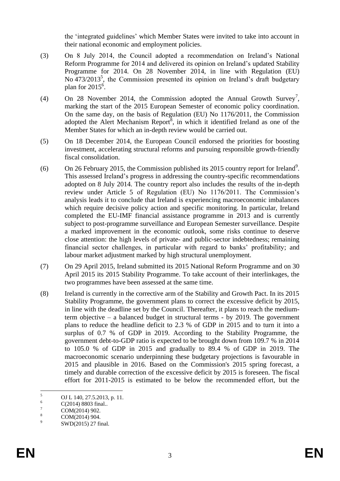the 'integrated guidelines' which Member States were invited to take into account in their national economic and employment policies.

- (3) On 8 July 2014, the Council adopted a recommendation on Ireland's National Reform Programme for 2014 and delivered its opinion on Ireland's updated Stability Programme for 2014. On 28 November 2014, in line with Regulation (EU) No  $473/2013^5$ , the Commission presented its opinion on Ireland's draft budgetary plan for  $2015^6$ .
- (4) On 28 November 2014, the Commission adopted the Annual Growth Survey<sup>7</sup>, marking the start of the 2015 European Semester of economic policy coordination. On the same day, on the basis of Regulation (EU) No 1176/2011, the Commission adopted the Alert Mechanism Report<sup>8</sup>, in which it identified Ireland as one of the Member States for which an in-depth review would be carried out.
- (5) On 18 December 2014, the European Council endorsed the priorities for boosting investment, accelerating structural reforms and pursuing responsible growth-friendly fiscal consolidation.
- (6) On 26 February 2015, the Commission published its 2015 country report for Ireland<sup>9</sup>. This assessed Ireland's progress in addressing the country-specific recommendations adopted on 8 July 2014. The country report also includes the results of the in-depth review under Article 5 of Regulation (EU) No 1176/2011. The Commission's analysis leads it to conclude that Ireland is experiencing macroeconomic imbalances which require decisive policy action and specific monitoring. In particular, Ireland completed the EU-IMF financial assistance programme in 2013 and is currently subject to post-programme surveillance and European Semester surveillance. Despite a marked improvement in the economic outlook, some risks continue to deserve close attention: the high levels of private- and public-sector indebtedness; remaining financial sector challenges, in particular with regard to banks' profitability; and labour market adjustment marked by high structural unemployment.
- (7) On 29 April 2015, Ireland submitted its 2015 National Reform Programme and on 30 April 2015 its 2015 Stability Programme. To take account of their interlinkages, the two programmes have been assessed at the same time.
- (8) Ireland is currently in the corrective arm of the Stability and Growth Pact. In its 2015 Stability Programme, the government plans to correct the excessive deficit by 2015, in line with the deadline set by the Council. Thereafter, it plans to reach the mediumterm objective – a balanced budget in structural terms - by 2019. The government plans to reduce the headline deficit to 2.3 % of GDP in 2015 and to turn it into a surplus of 0.7 % of GDP in 2019. According to the Stability Programme, the government debt-to-GDP ratio is expected to be brought down from 109.7 % in 2014 to 105.0 % of GDP in 2015 and gradually to 89.4 % of GDP in 2019. The macroeconomic scenario underpinning these budgetary projections is favourable in 2015 and plausible in 2016. Based on the Commission's 2015 spring forecast, a timely and durable correction of the excessive deficit by 2015 is foreseen. The fiscal effort for 2011-2015 is estimated to be below the recommended effort, but the

 $\overline{5}$  $5 \qquad \text{OJ L } 140, 27.5.2013, \text{ p. } 11.$ 

 $^{6}$  C(2014) 8803 final..

 $\frac{7}{8}$  COM(2014) 902.

COM(2014) 904.

<sup>9</sup> SWD(2015) 27 final.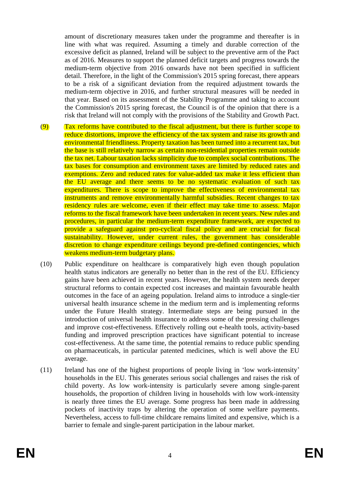amount of discretionary measures taken under the programme and thereafter is in line with what was required. Assuming a timely and durable correction of the excessive deficit as planned, Ireland will be subject to the preventive arm of the Pact as of 2016. Measures to support the planned deficit targets and progress towards the medium-term objective from 2016 onwards have not been specified in sufficient detail. Therefore, in the light of the Commission's 2015 spring forecast, there appears to be a risk of a significant deviation from the required adjustment towards the medium-term objective in 2016, and further structural measures will be needed in that year. Based on its assessment of the Stability Programme and taking to account the Commission's 2015 spring forecast, the Council is of the opinion that there is a risk that Ireland will not comply with the provisions of the Stability and Growth Pact.

- (9) Tax reforms have contributed to the fiscal adjustment, but there is further scope to reduce distortions, improve the efficiency of the tax system and raise its growth and environmental friendliness. Property taxation has been turned into a recurrent tax, but the base is still relatively narrow as certain non-residential properties remain outside the tax net. Labour taxation lacks simplicity due to complex social contributions. The tax bases for consumption and environment taxes are limited by reduced rates and exemptions. Zero and reduced rates for value-added tax make it less efficient than the EU average and there seems to be no systematic evaluation of such tax expenditures. There is scope to improve the effectiveness of environmental tax instruments and remove environmentally harmful subsidies. Recent changes to tax residency rules are welcome, even if their effect may take time to assess. Major reforms to the fiscal framework have been undertaken in recent years. New rules and procedures, in particular the medium-term expenditure framework, are expected to provide a safeguard against pro-cyclical fiscal policy and are crucial for fiscal sustainability. However, under current rules, the government has considerable discretion to change expenditure ceilings beyond pre-defined contingencies, which weakens medium-term budgetary plans.
- (10) Public expenditure on healthcare is comparatively high even though population health status indicators are generally no better than in the rest of the EU. Efficiency gains have been achieved in recent years. However, the health system needs deeper structural reforms to contain expected cost increases and maintain favourable health outcomes in the face of an ageing population. Ireland aims to introduce a single-tier universal health insurance scheme in the medium term and is implementing reforms under the Future Health strategy. Intermediate steps are being pursued in the introduction of universal health insurance to address some of the pressing challenges and improve cost-effectiveness. Effectively rolling out e-health tools, activity-based funding and improved prescription practices have significant potential to increase cost-effectiveness. At the same time, the potential remains to reduce public spending on pharmaceuticals, in particular patented medicines, which is well above the EU average.
- (11) Ireland has one of the highest proportions of people living in 'low work-intensity' households in the EU. This generates serious social challenges and raises the risk of child poverty. As low work-intensity is particularly severe among single-parent households, the proportion of children living in households with low work-intensity is nearly three times the EU average. Some progress has been made in addressing pockets of inactivity traps by altering the operation of some welfare payments. Nevertheless, access to full-time childcare remains limited and expensive, which is a barrier to female and single-parent participation in the labour market.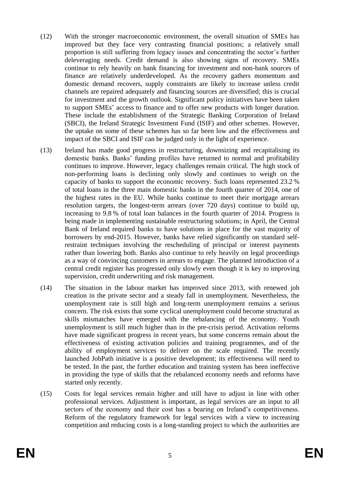- (12) With the stronger macroeconomic environment, the overall situation of SMEs has improved but they face very contrasting financial positions; a relatively small proportion is still suffering from legacy issues and concentrating the sector's further deleveraging needs. Credit demand is also showing signs of recovery. SMEs continue to rely heavily on bank financing for investment and non-bank sources of finance are relatively underdeveloped. As the recovery gathers momentum and domestic demand recovers, supply constraints are likely to increase unless credit channels are repaired adequately and financing sources are diversified; this is crucial for investment and the growth outlook. Significant policy initiatives have been taken to support SMEs' access to finance and to offer new products with longer duration. These include the establishment of the Strategic Banking Corporation of Ireland (SBCI), the Ireland Strategic Investment Fund (ISIF) and other schemes. However, the uptake on some of these schemes has so far been low and the effectiveness and impact of the SBCI and ISIF can be judged only in the light of experience.
- (13) Ireland has made good progress in restructuring, downsizing and recapitalising its domestic banks. Banks' funding profiles have returned to normal and profitability continues to improve. However, legacy challenges remain critical. The high stock of non-performing loans is declining only slowly and continues to weigh on the capacity of banks to support the economic recovery. Such loans represented 23.2 % of total loans in the three main domestic banks in the fourth quarter of 2014, one of the highest rates in the EU. While banks continue to meet their mortgage arrears resolution targets, the longest-term arrears (over 720 days) continue to build up, increasing to 9.8 % of total loan balances in the fourth quarter of 2014. Progress is being made in implementing sustainable restructuring solutions; in April, the Central Bank of Ireland required banks to have solutions in place for the vast majority of borrowers by end-2015. However, banks have relied significantly on standard selfrestraint techniques involving the rescheduling of principal or interest payments rather than lowering both. Banks also continue to rely heavily on legal proceedings as a way of convincing customers in arrears to engage. The planned introduction of a central credit register has progressed only slowly even though it is key to improving supervision, credit underwriting and risk management.
- (14) The situation in the labour market has improved since 2013, with renewed job creation in the private sector and a steady fall in unemployment. Nevertheless, the unemployment rate is still high and long-term unemployment remains a serious concern. The risk exists that some cyclical unemployment could become structural as skills mismatches have emerged with the rebalancing of the economy. Youth unemployment is still much higher than in the pre-crisis period. Activation reforms have made significant progress in recent years, but some concerns remain about the effectiveness of existing activation policies and training programmes, and of the ability of employment services to deliver on the scale required. The recently launched JobPath initiative is a positive development; its effectiveness will need to be tested. In the past, the further education and training system has been ineffective in providing the type of skills that the rebalanced economy needs and reforms have started only recently.
- (15) Costs for legal services remain higher and still have to adjust in line with other professional services. Adjustment is important, as legal services are an input to all sectors of the economy and their cost has a bearing on Ireland's competitiveness. Reform of the regulatory framework for legal services with a view to increasing competition and reducing costs is a long-standing project to which the authorities are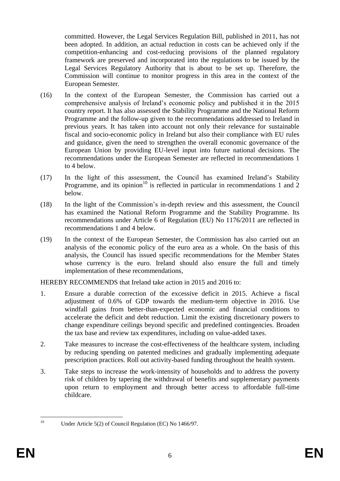committed. However, the Legal Services Regulation Bill, published in 2011, has not been adopted. In addition, an actual reduction in costs can be achieved only if the competition-enhancing and cost-reducing provisions of the planned regulatory framework are preserved and incorporated into the regulations to be issued by the Legal Services Regulatory Authority that is about to be set up. Therefore, the Commission will continue to monitor progress in this area in the context of the European Semester.

- (16) In the context of the European Semester, the Commission has carried out a comprehensive analysis of Ireland's economic policy and published it in the 2015 country report. It has also assessed the Stability Programme and the National Reform Programme and the follow-up given to the recommendations addressed to Ireland in previous years. It has taken into account not only their relevance for sustainable fiscal and socio-economic policy in Ireland but also their compliance with EU rules and guidance, given the need to strengthen the overall economic governance of the European Union by providing EU-level input into future national decisions. The recommendations under the European Semester are reflected in recommendations 1 to 4 below.
- (17) In the light of this assessment, the Council has examined Ireland's Stability Programme, and its opinion<sup>10</sup> is reflected in particular in recommendations 1 and 2 below.
- (18) In the light of the Commission's in-depth review and this assessment, the Council has examined the National Reform Programme and the Stability Programme. Its recommendations under Article 6 of Regulation (EU) No 1176/2011 are reflected in recommendations 1 and 4 below.
- (19) In the context of the European Semester, the Commission has also carried out an analysis of the economic policy of the euro area as a whole. On the basis of this analysis, the Council has issued specific recommendations for the Member States whose currency is the euro. Ireland should also ensure the full and timely implementation of these recommendations,

HEREBY RECOMMENDS that Ireland take action in 2015 and 2016 to:

- 1. Ensure a durable correction of the excessive deficit in 2015. Achieve a fiscal adjustment of 0.6% of GDP towards the medium-term objective in 2016. Use windfall gains from better-than-expected economic and financial conditions to accelerate the deficit and debt reduction. Limit the existing discretionary powers to change expenditure ceilings beyond specific and predefined contingencies. Broaden the tax base and review tax expenditures, including on value-added taxes.
- 2. Take measures to increase the cost-effectiveness of the healthcare system, including by reducing spending on patented medicines and gradually implementing adequate prescription practices. Roll out activity-based funding throughout the health system.
- 3. Take steps to increase the work-intensity of households and to address the poverty risk of children by tapering the withdrawal of benefits and supplementary payments upon return to employment and through better access to affordable full-time childcare.

 $10\,$ 

Under Article 5(2) of Council Regulation (EC) No 1466/97.